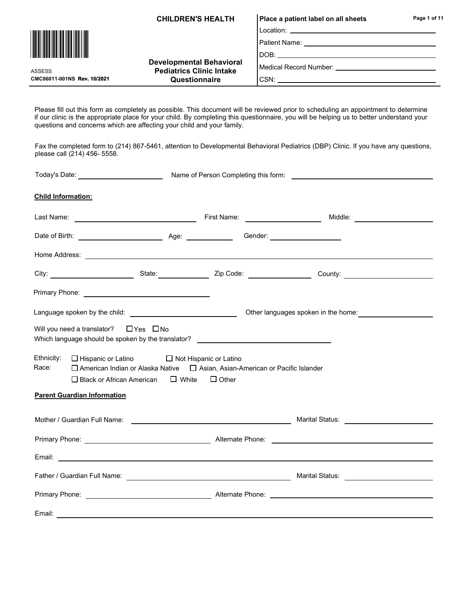CHILDREN'S HEALTH

Location: \_ Place a patient label on all sheets

Patient Name:

DOB:

Medical Record Number:

CMC86011-001NS Rev. 10/2021 Questionnaire

Developmental Behavioral Pediatrics Clinic Intake

CSN:

Please fill out this form as completely as possible. This document will be reviewed prior to scheduling an appointment to determine if our clinic is the appropriate place for your child. By completing this questionnaire, you will be helping us to better understand your questions and concerns which are affecting your child and your family.

Fax the completed form to (214) 867-5461, attention to Developmental Behavioral Pediatrics (DBP) Clinic. If you have any questions, please call (214) 456- 5558.

| Today's Date: _________________________                                                                                                                                                                                        |                              |                                     |  |
|--------------------------------------------------------------------------------------------------------------------------------------------------------------------------------------------------------------------------------|------------------------------|-------------------------------------|--|
| <b>Child Information:</b>                                                                                                                                                                                                      |                              |                                     |  |
|                                                                                                                                                                                                                                |                              |                                     |  |
|                                                                                                                                                                                                                                |                              |                                     |  |
|                                                                                                                                                                                                                                |                              |                                     |  |
| City: City: City: City: County: County: County: County: County: County: County: County: County: County: County: County: County: County: County: County: County: County: County: County: County: County: County: County: County |                              |                                     |  |
|                                                                                                                                                                                                                                |                              |                                     |  |
|                                                                                                                                                                                                                                |                              | Other languages spoken in the home: |  |
| Will you need a translator? $\Box$ Yes $\Box$ No<br>Which language should be spoken by the translator? _____________________________                                                                                           |                              |                                     |  |
| Ethnicity:<br>$\Box$ Hispanic or Latino $\Box$ Not Hispanic or Latino<br>Race:<br>□ American Indian or Alaska Native □ Asian, Asian-American or Pacific Islander<br>$\square$ Black or African American                        | $\Box$ White<br>$\Box$ Other |                                     |  |
| <b>Parent Guardian Information</b>                                                                                                                                                                                             |                              |                                     |  |
| Mother / Guardian Full Name: Notified the Second Status and Marital Status:                                                                                                                                                    |                              |                                     |  |
|                                                                                                                                                                                                                                |                              |                                     |  |
|                                                                                                                                                                                                                                |                              |                                     |  |
|                                                                                                                                                                                                                                |                              |                                     |  |
|                                                                                                                                                                                                                                |                              |                                     |  |
|                                                                                                                                                                                                                                |                              |                                     |  |



ASSESS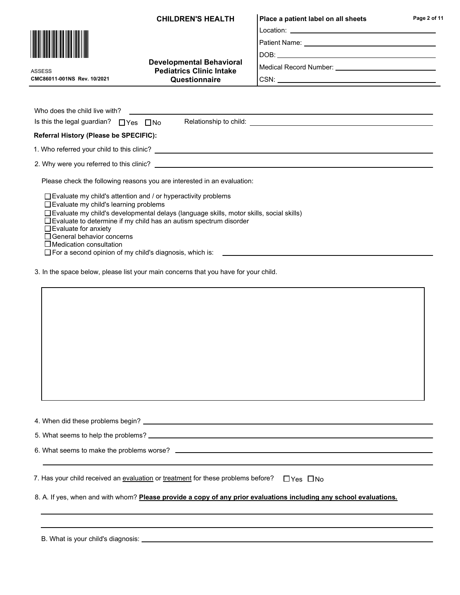Location: CHILDREN'S HEALTH | Place a patient label on all sheets

CSN:

Patient Name:

DOB:

Medical Record Number:

CMC86011-001NS Rev. 10/2021 ASSESS

| <b>Developmental Behavioral</b> |  |  |
|---------------------------------|--|--|
| <b>Pediatrics Clinic Intake</b> |  |  |
| Questionnaire                   |  |  |

| Who does the child live with?                                                                                                                                                                             |  |  |  |
|-----------------------------------------------------------------------------------------------------------------------------------------------------------------------------------------------------------|--|--|--|
| Relationship to child:<br>Is this the legal guardian? $\Box$ Yes $\Box$ No                                                                                                                                |  |  |  |
| Referral History (Please be SPECIFIC):                                                                                                                                                                    |  |  |  |
| 1. Who referred your child to this clinic?                                                                                                                                                                |  |  |  |
| 2. Why were you referred to this clinic?                                                                                                                                                                  |  |  |  |
| Please check the following reasons you are interested in an evaluation:                                                                                                                                   |  |  |  |
| $\Box$ Evaluate my child's attention and / or hyperactivity problems<br>$\Box$ Evaluate my child's learning problems                                                                                      |  |  |  |
| $\Box$ Evaluate my child's developmental delays (language skills, motor skills, social skills)<br>$\Box$ Evaluate to determine if my child has an autism spectrum disorder<br>$\Box$ Evaluate for anxiety |  |  |  |
| $\Box$ General behavior concerns<br>$\Box$ Medication consultation                                                                                                                                        |  |  |  |

3. In the space below, please list your main concerns that you have for your child.

□ For a second opinion of my child's diagnosis, which is: \_\_\_\_\_\_\_\_\_\_\_\_\_\_\_\_\_\_\_\_\_\_\_

| 7. Has your child received an evaluation or treatment for these problems before? $\Box$ Yes $\Box$ No              |  |
|--------------------------------------------------------------------------------------------------------------------|--|
| 8. A. If yes, when and with whom? Please provide a copy of any prior evaluations including any school evaluations. |  |
|                                                                                                                    |  |

B. What is your child's diagnosis:



L.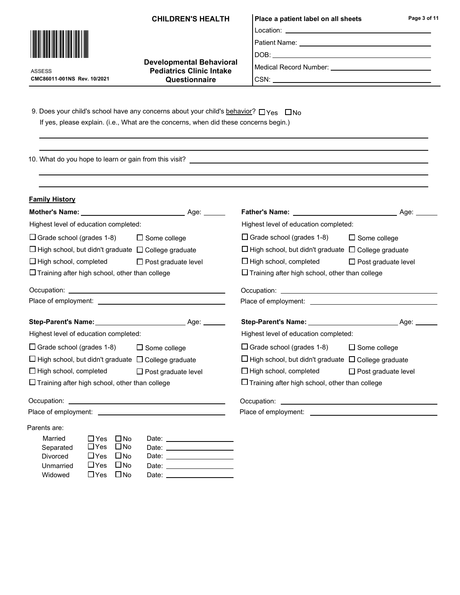|  |  | <b>CHILDREN'S HEALTH</b> |
|--|--|--------------------------|
|--|--|--------------------------|

Developmental Behavioral Pediatrics Clinic Intake **Questionnaire** 

### Location: Place a patient label on all sheets

DOB:

|Medical Record Number: \_\_\_\_\_\_\_\_\_\_\_\_

9. Does your child's school have any concerns about your child's behavior?  $\Box$  Yes  $\Box$  No If yes, please explain. (i.e., What are the concerns, when did these concerns begin.)

10. What do you hope to learn or gain from this visit?

| <b>Family History</b>                                                                                                                                                                                                   |                                                                                                                |
|-------------------------------------------------------------------------------------------------------------------------------------------------------------------------------------------------------------------------|----------------------------------------------------------------------------------------------------------------|
|                                                                                                                                                                                                                         | Age: ______                                                                                                    |
| Highest level of education completed:                                                                                                                                                                                   | Highest level of education completed:                                                                          |
| $\Box$ Grade school (grades 1-8)<br>$\Box$ Some college                                                                                                                                                                 | $\Box$ Grade school (grades 1-8)<br>$\Box$ Some college                                                        |
| $\Box$ High school, but didn't graduate $\Box$ College graduate                                                                                                                                                         | $\Box$ High school, but didn't graduate $\Box$ College graduate                                                |
| $\Box$ High school, completed<br>$\Box$ Post graduate level                                                                                                                                                             | $\Box$ High school, completed<br>$\Box$ Post graduate level                                                    |
| $\Box$ Training after high school, other than college                                                                                                                                                                   | $\Box$ Training after high school, other than college                                                          |
|                                                                                                                                                                                                                         |                                                                                                                |
|                                                                                                                                                                                                                         |                                                                                                                |
| Step-Parent's Name: Name: Name: Name: Name: Name: Name: Name: Name: Name: Name: Name: Name: Name: Name: Name: N                                                                                                         | Step-Parent's Name: Name: Name: Name: Age: Name: Age: Name: Name: Name: Name: Name: Name: Name: Name: Name: Na |
| Highest level of education completed:                                                                                                                                                                                   | Highest level of education completed:                                                                          |
| $\Box$ Grade school (grades 1-8)<br>$\Box$ Some college                                                                                                                                                                 | $\Box$ Grade school (grades 1-8)<br>$\Box$ Some college                                                        |
| $\Box$ High school, but didn't graduate $\Box$ College graduate                                                                                                                                                         | $\Box$ High school, but didn't graduate $\Box$ College graduate                                                |
| $\Box$ High school, completed<br>$\Box$ Post graduate level                                                                                                                                                             | $\Box$ High school, completed<br>$\Box$ Post graduate level                                                    |
| $\Box$ Training after high school, other than college                                                                                                                                                                   | $\Box$ Training after high school, other than college                                                          |
|                                                                                                                                                                                                                         |                                                                                                                |
|                                                                                                                                                                                                                         |                                                                                                                |
| Parents are:                                                                                                                                                                                                            |                                                                                                                |
| Married<br>$\square$ No<br>$\Box$ Yes<br>Date: <b>Date: Date: Date: Date: Date: Date: Date: Date: Date: Date: Date: Date: Date: Date: Date: Date: Date: Date: Date: Date: Date: Date: Date: Date: Date: Date: Date:</b> |                                                                                                                |
| $\Box$ Yes<br>$\square$ No<br>Separated                                                                                                                                                                                 |                                                                                                                |
| $\Box$ Yes<br>$\square$ No<br><b>Divorced</b><br>Date: ____________________                                                                                                                                             |                                                                                                                |
| $\Box$ Yes<br>$\square$ No<br>Unmarried<br>Date: <u>________</u> ____________                                                                                                                                           |                                                                                                                |
| $\Box$ No<br>$\Box$ Yes<br>Widowed<br>Date: Date:                                                                                                                                                                       |                                                                                                                |



CMC86011-001NS Rev. 10/2021 ASSESS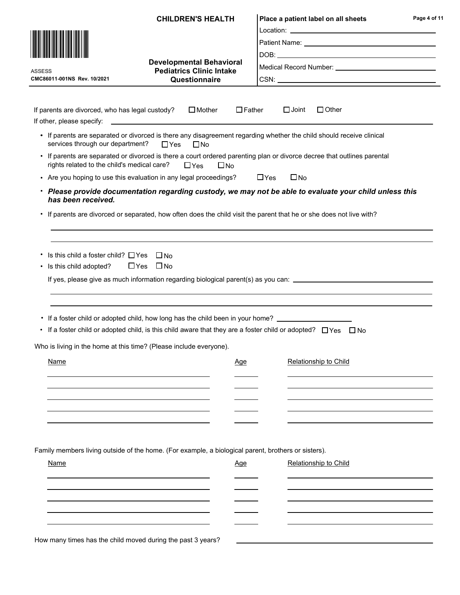|                                                                              | <b>CHILDREN'S HEALTH</b>                                                                                                                                                                                                     |               | Place a patient label on all sheets                                                                                     | Page 4 of 11 |
|------------------------------------------------------------------------------|------------------------------------------------------------------------------------------------------------------------------------------------------------------------------------------------------------------------------|---------------|-------------------------------------------------------------------------------------------------------------------------|--------------|
|                                                                              |                                                                                                                                                                                                                              |               |                                                                                                                         |              |
|                                                                              |                                                                                                                                                                                                                              |               |                                                                                                                         |              |
|                                                                              |                                                                                                                                                                                                                              |               |                                                                                                                         |              |
| <b>ASSESS</b>                                                                | <b>Developmental Behavioral</b><br><b>Pediatrics Clinic Intake</b>                                                                                                                                                           |               |                                                                                                                         |              |
| CMC86011-001NS Rev. 10/2021                                                  | Questionnaire                                                                                                                                                                                                                |               |                                                                                                                         |              |
|                                                                              |                                                                                                                                                                                                                              |               |                                                                                                                         |              |
| If parents are divorced, who has legal custody?<br>If other, please specify: | $\Box$ Mother                                                                                                                                                                                                                | $\Box$ Father | $\Box$ Other<br>$\Box$ Joint                                                                                            |              |
| services through our department?                                             | • If parents are separated or divorced is there any disagreement regarding whether the child should receive clinical<br>$\square$ No<br>$\Box$ Yes                                                                           |               |                                                                                                                         |              |
| rights related to the child's medical care?                                  | $\Box$ Yes<br>$\square$ No                                                                                                                                                                                                   |               | • If parents are separated or divorced is there a court ordered parenting plan or divorce decree that outlines parental |              |
|                                                                              | • Are you hoping to use this evaluation in any legal proceedings?                                                                                                                                                            | $\Box$ Yes    | $\square$ No                                                                                                            |              |
| has been received.                                                           |                                                                                                                                                                                                                              |               | · Please provide documentation regarding custody, we may not be able to evaluate your child unless this                 |              |
| $\bullet$                                                                    | If parents are divorced or separated, how often does the child visit the parent that he or she does not live with?                                                                                                           |               |                                                                                                                         |              |
|                                                                              |                                                                                                                                                                                                                              |               |                                                                                                                         |              |
| • Is this child a foster child? $\Box$ Yes<br>• Is this child adopted?       | $\Box$ No<br>$\Box$ No<br>$\Box$ Yes                                                                                                                                                                                         |               |                                                                                                                         |              |
|                                                                              |                                                                                                                                                                                                                              |               | If yes, please give as much information regarding biological parent(s) as you can: ___________________________          |              |
|                                                                              |                                                                                                                                                                                                                              |               |                                                                                                                         |              |
|                                                                              |                                                                                                                                                                                                                              |               |                                                                                                                         |              |
|                                                                              |                                                                                                                                                                                                                              |               |                                                                                                                         |              |
| ٠                                                                            | • If a foster child or adopted child, how long has the child been in your home? ___________________<br>If a foster child or adopted child, is this child aware that they are a foster child or adopted? $\Box$ Yes $\Box$ No |               |                                                                                                                         |              |
|                                                                              | Who is living in the home at this time? (Please include everyone).                                                                                                                                                           |               |                                                                                                                         |              |
| <b>Name</b>                                                                  | Age                                                                                                                                                                                                                          |               | <b>Relationship to Child</b>                                                                                            |              |
|                                                                              |                                                                                                                                                                                                                              |               |                                                                                                                         |              |
|                                                                              |                                                                                                                                                                                                                              |               |                                                                                                                         |              |
|                                                                              |                                                                                                                                                                                                                              |               |                                                                                                                         |              |
|                                                                              |                                                                                                                                                                                                                              |               |                                                                                                                         |              |
|                                                                              |                                                                                                                                                                                                                              |               |                                                                                                                         |              |
|                                                                              |                                                                                                                                                                                                                              |               |                                                                                                                         |              |
|                                                                              |                                                                                                                                                                                                                              |               |                                                                                                                         |              |
|                                                                              | Family members living outside of the home. (For example, a biological parent, brothers or sisters).                                                                                                                          |               |                                                                                                                         |              |
| <b>Name</b>                                                                  | <u>Age</u>                                                                                                                                                                                                                   |               | Relationship to Child                                                                                                   |              |
|                                                                              |                                                                                                                                                                                                                              |               |                                                                                                                         |              |
|                                                                              |                                                                                                                                                                                                                              |               |                                                                                                                         |              |
|                                                                              |                                                                                                                                                                                                                              |               |                                                                                                                         |              |
|                                                                              |                                                                                                                                                                                                                              |               |                                                                                                                         |              |
|                                                                              |                                                                                                                                                                                                                              |               |                                                                                                                         |              |
| How many times has the child moved during the past 3 years?                  |                                                                                                                                                                                                                              |               |                                                                                                                         |              |
|                                                                              |                                                                                                                                                                                                                              |               |                                                                                                                         |              |
|                                                                              |                                                                                                                                                                                                                              |               |                                                                                                                         |              |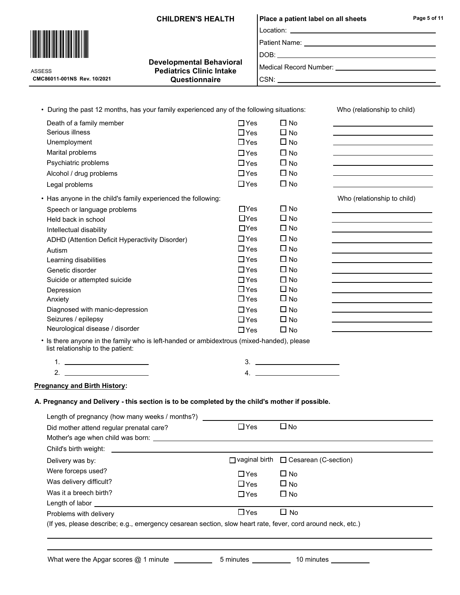|                                                                                                                                                                                                                                      | <b>CHILDREN'S HEALTH</b>                         |            | Place a patient label on all sheets    |                                                                                           | Page 5 of 11                                                               |
|--------------------------------------------------------------------------------------------------------------------------------------------------------------------------------------------------------------------------------------|--------------------------------------------------|------------|----------------------------------------|-------------------------------------------------------------------------------------------|----------------------------------------------------------------------------|
|                                                                                                                                                                                                                                      |                                                  |            |                                        |                                                                                           |                                                                            |
|                                                                                                                                                                                                                                      |                                                  |            |                                        |                                                                                           |                                                                            |
|                                                                                                                                                                                                                                      |                                                  |            |                                        |                                                                                           |                                                                            |
|                                                                                                                                                                                                                                      | <b>Developmental Behavioral</b>                  |            |                                        |                                                                                           |                                                                            |
| <b>ASSESS</b><br>CMC86011-001NS Rev. 10/2021                                                                                                                                                                                         | <b>Pediatrics Clinic Intake</b><br>Questionnaire |            |                                        |                                                                                           |                                                                            |
|                                                                                                                                                                                                                                      |                                                  |            |                                        |                                                                                           |                                                                            |
|                                                                                                                                                                                                                                      |                                                  |            |                                        |                                                                                           |                                                                            |
| • During the past 12 months, has your family experienced any of the following situations:                                                                                                                                            |                                                  |            |                                        | Who (relationship to child)                                                               |                                                                            |
| Death of a family member                                                                                                                                                                                                             |                                                  | $\Box$ Yes | $\Box$ No                              |                                                                                           |                                                                            |
| Serious illness                                                                                                                                                                                                                      |                                                  | $\Box$ Yes | $\Box$ No                              |                                                                                           |                                                                            |
| Unemployment                                                                                                                                                                                                                         |                                                  | $\Box$ Yes | $\Box$ No                              | the control of the control of the control of the control of the control of                |                                                                            |
| Marital problems                                                                                                                                                                                                                     |                                                  | $\Box$ Yes | $\square$ No                           | <u> 1989 - Johann Barn, fransk politik amerikansk politik (d. 1989)</u>                   |                                                                            |
| Psychiatric problems                                                                                                                                                                                                                 |                                                  | $\Box$ Yes | $\Box$ No                              |                                                                                           |                                                                            |
| Alcohol / drug problems                                                                                                                                                                                                              |                                                  | $\Box$ Yes | $\square$ No                           | the control of the control of the control of the control of the control of the control of |                                                                            |
| Legal problems                                                                                                                                                                                                                       |                                                  | $\Box$ Yes | $\Box$ No                              |                                                                                           |                                                                            |
| • Has anyone in the child's family experienced the following:                                                                                                                                                                        |                                                  |            |                                        | Who (relationship to child)                                                               |                                                                            |
| Speech or language problems                                                                                                                                                                                                          |                                                  | $\Box$ Yes | $\Box$ No                              |                                                                                           |                                                                            |
| Held back in school                                                                                                                                                                                                                  |                                                  | $\Box$ Yes | $\Box$ No                              |                                                                                           |                                                                            |
| Intellectual disability                                                                                                                                                                                                              |                                                  | $\Box$ Yes | $\Box$ No                              |                                                                                           |                                                                            |
| ADHD (Attention Deficit Hyperactivity Disorder)                                                                                                                                                                                      |                                                  | $\Box$ Yes | $\Box$ No                              |                                                                                           |                                                                            |
| Autism                                                                                                                                                                                                                               |                                                  | $\Box$ Yes | $\Box$ No                              |                                                                                           |                                                                            |
| Learning disabilities                                                                                                                                                                                                                |                                                  | $\Box$ Yes | $\Box$ No                              |                                                                                           | the control of the control of the control of the control of the control of |
| Genetic disorder                                                                                                                                                                                                                     |                                                  | $\Box$ Yes | $\Box$ No                              |                                                                                           |                                                                            |
| Suicide or attempted suicide                                                                                                                                                                                                         |                                                  | $\Box$ Yes | $\Box$ No                              |                                                                                           |                                                                            |
| Depression                                                                                                                                                                                                                           |                                                  | $\Box$ Yes | $\Box$ No                              |                                                                                           |                                                                            |
| Anxiety                                                                                                                                                                                                                              |                                                  | $\Box$ Yes | $\Box$ No                              | the control of the control of the control of the control of the control of the control of |                                                                            |
| Diagnosed with manic-depression                                                                                                                                                                                                      |                                                  | $\Box$ Yes | $\Box$ No                              | the control of the control of the control of the control of the control of                |                                                                            |
| Seizures / epilepsy                                                                                                                                                                                                                  |                                                  | $\Box$ Yes | $\square$ No                           |                                                                                           |                                                                            |
| Neurological disease / disorder                                                                                                                                                                                                      |                                                  | $\Box$ Yes | $\Box$ No                              |                                                                                           |                                                                            |
| • Is there anyone in the family who is left-handed or ambidextrous (mixed-handed), please<br>list relationship to the patient:                                                                                                       |                                                  |            |                                        |                                                                                           |                                                                            |
| <u>1. _______________________</u>                                                                                                                                                                                                    |                                                  |            |                                        |                                                                                           |                                                                            |
| $2.$ $\overline{\phantom{a}}$                                                                                                                                                                                                        |                                                  |            | 4. $\qquad \qquad$                     |                                                                                           |                                                                            |
|                                                                                                                                                                                                                                      |                                                  |            |                                        |                                                                                           |                                                                            |
| <b>Pregnancy and Birth History:</b>                                                                                                                                                                                                  |                                                  |            |                                        |                                                                                           |                                                                            |
| A. Pregnancy and Delivery - this section is to be completed by the child's mother if possible.                                                                                                                                       |                                                  |            |                                        |                                                                                           |                                                                            |
| Length of pregnancy (how many weeks / months?)                                                                                                                                                                                       |                                                  |            |                                        |                                                                                           |                                                                            |
| Did mother attend regular prenatal care?                                                                                                                                                                                             |                                                  | $\Box$ Yes | $\square$ No                           |                                                                                           |                                                                            |
|                                                                                                                                                                                                                                      |                                                  |            |                                        |                                                                                           |                                                                            |
| Child's birth weight:                                                                                                                                                                                                                |                                                  |            |                                        |                                                                                           |                                                                            |
| Delivery was by:                                                                                                                                                                                                                     |                                                  |            | □ vaginal birth □ Cesarean (C-section) |                                                                                           |                                                                            |
| Were forceps used?                                                                                                                                                                                                                   |                                                  | $\Box$ Yes | $\Box$ No                              |                                                                                           |                                                                            |
| Was delivery difficult?                                                                                                                                                                                                              |                                                  | $\Box$ Yes | $\square$ No                           |                                                                                           |                                                                            |
| Was it a breech birth?                                                                                                                                                                                                               |                                                  | $\Box$ Yes | $\Box$ No                              |                                                                                           |                                                                            |
| Length of labor <u>example and the set of the set of the set of the set of the set of the set of the set of the set of the set of the set of the set of the set of the set of the set of the set of the set of the set of the se</u> |                                                  |            |                                        |                                                                                           |                                                                            |
| Problems with delivery                                                                                                                                                                                                               |                                                  | $\Box$ Yes | $\Box$ No                              |                                                                                           |                                                                            |
|                                                                                                                                                                                                                                      |                                                  |            |                                        |                                                                                           |                                                                            |

| What were the Apgar scores @ 1 minute |  |  |  |
|---------------------------------------|--|--|--|
|---------------------------------------|--|--|--|

e \_\_\_\_\_\_\_\_\_\_\_\_\_5 minutes \_\_\_\_\_\_\_\_\_\_\_\_\_ 10 minutes \_\_\_\_\_\_\_\_\_\_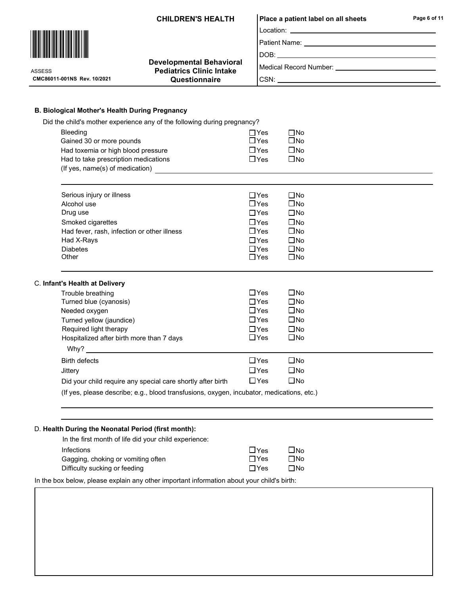### Location: CHILDREN'S HEALTH | Place a patient label on all sheets

Page 6 of 11

Patient Name:

 $\square$  Yes  $\square$  No<br> $\square$  Yes  $\square$  No  $\overline{\square}$ Yes  $\Box$ No<br> $\Box$ Yes  $\Box$ No

 $\Box$  Yes  $\Box$  No

DOB:

CSN:

Medical Record Number: \_\_\_\_\_\_\_\_\_\_\_\_

 $\square$ No

| ASSESS                     |  |
|----------------------------|--|
| CMC86011-001NS Rev. 10/202 |  |

<u>\*ASSESS\*ASSESS\*ASSESS\*ASSESS\*ASSESS</u>\*ASSESS\*ASSESS\*AS

Bleeding

B. Biological Mother's Health During Pregnancy

Had toxemia or high blood pressure

Did the child's mother experience any of the following during pregnancy?

Gained 30 or more pounds

#### Developmental Behavioral Pediatrics Clinic Intake <sup>1</sup> and Cuestionnaire

| Had to take prescription medications<br>(If yes, name(s) of medication)                                                                                                 | $\Box$ Yes                                                                                                        | □No                                                                                                                          |  |
|-------------------------------------------------------------------------------------------------------------------------------------------------------------------------|-------------------------------------------------------------------------------------------------------------------|------------------------------------------------------------------------------------------------------------------------------|--|
|                                                                                                                                                                         |                                                                                                                   |                                                                                                                              |  |
| Serious injury or illness<br>Alcohol use<br>Drug use<br>Smoked cigarettes<br>Had fever, rash, infection or other illness<br>Had X-Rays<br><b>Diabetes</b><br>Other      | $\sqcap$ Yes<br>$\Box$ Yes<br>$\Box$ Yes<br>$\Box$ Yes<br>$\square$ Yes<br>$\Box$ Yes<br>$\Box$ Yes<br>$\Box$ Yes | $\square$ No<br>$\square$ No<br>$\square$ No<br>$\square$ No<br>$\square$ No<br>$\square$ No<br>$\square$ No<br>$\square$ No |  |
| C. Infant's Health at Delivery                                                                                                                                          |                                                                                                                   |                                                                                                                              |  |
| Trouble breathing<br>Turned blue (cyanosis)<br>Needed oxygen<br>Turned yellow (jaundice)<br>Required light therapy<br>Hospitalized after birth more than 7 days<br>Why? | $\Box$ Yes<br>$\Box$ Yes<br>$\Box$ Yes<br>$\Box$ Yes<br>$\Box$ Yes<br>$\Box$ Yes                                  | □No<br>$\square$ No<br>$\square$ No<br>$\square$ No<br>$\square$ No<br>$\square$ No                                          |  |
| <b>Birth defects</b><br>Jittery                                                                                                                                         | $\Box$ Yes<br>$\Box$ Yes                                                                                          | □No<br>$\square$ No                                                                                                          |  |

(If yes, please describe; e.g., blood transfusions, oxygen, incubator, medications, etc.)

#### D. Health During the Neonatal Period (first month):

| In the first month of life did your child experience: |              |           |
|-------------------------------------------------------|--------------|-----------|
| <b>Infections</b>                                     | $\sqcup$ Yes | $\Box$ No |
| Gagging, choking or vomiting often                    | $\Box$ Yes   | ΠNo       |
| Difficulty sucking or feeding                         | $\Box$ Yes   | $\Box$ No |

In the box below, please explain any other important information about your child's birth:

Did your child require any special care shortly after birth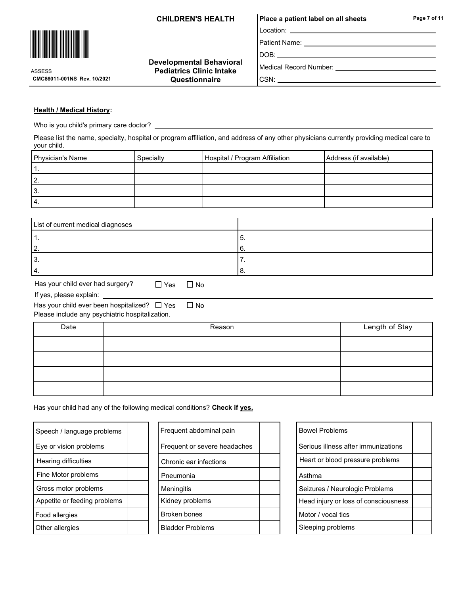## Location: CHILDREN'S HEALTH | Place a patient label on all sheets

Patient Name:

DOB:

Medical Record Number:

CMC86011-001NS Rev. 10/2021

Developmental Behavioral Pediatrics Clinic Intake **Questionnaire** 

| Medical Record Number: |  |
|------------------------|--|
| CSN:                   |  |

### Health / Medical History:

<u>\*ASSESS\*ASSESS\*ASSESS\*ASSESS\*ASSESS</u>\*ASSESS\*ASSESS\*AS

ASSESS

Who is you child's primary care doctor?

Please list the name, specialty, hospital or program affiliation, and address of any other physicians currently providing medical care to your child.

| Physician's Name | Specialty | Hospital / Program Affiliation | Address (if available) |
|------------------|-----------|--------------------------------|------------------------|
|                  |           |                                |                        |
| 2.               |           |                                |                        |
| l3.              |           |                                |                        |
| 14.              |           |                                |                        |

| List of current medical diagnoses |  |
|-----------------------------------|--|
|                                   |  |
|                                   |  |
|                                   |  |
| 4                                 |  |

| Has your child ever had surgery? | $\Box$ |
|----------------------------------|--------|
|----------------------------------|--------|

If yes, please explain:

Yes  $\Box$  No

| Has your child ever been hospitalized? $\Box$ Yes | $\Box$ No |
|---------------------------------------------------|-----------|
| Please include any psychiatric hospitalization.   |           |

| Date | Reason | Length of Stay |
|------|--------|----------------|
|      |        |                |
|      |        |                |
|      |        |                |
|      |        |                |

Has your child had any of the following medical conditions? Check if yes.

| Speech / language problems   |  |
|------------------------------|--|
| Eye or vision problems       |  |
| Hearing difficulties         |  |
| Fine Motor problems          |  |
| Gross motor problems         |  |
| Appetite or feeding problems |  |
| Food allergies               |  |
| Other allergies              |  |

| Speech / language problems   | Frequent abdominal pain      |  | <b>Bowel Problems</b>               |
|------------------------------|------------------------------|--|-------------------------------------|
| Eye or vision problems       | Frequent or severe headaches |  | Serious illness after immunizations |
| Hearing difficulties         | Chronic ear infections       |  | Heart or blood pressure problems    |
| Fine Motor problems          | Pneumonia                    |  | Asthma                              |
| Gross motor problems         | <b>Meningitis</b>            |  | Seizures / Neurologic Problems      |
| Appetite or feeding problems | Kidney problems              |  | Head injury or loss of consciousne  |
| Food allergies               | Broken bones                 |  | Motor / vocal tics                  |
| Other allergies              | <b>Bladder Problems</b>      |  | Sleeping problems                   |
|                              |                              |  |                                     |

| <b>Bowel Problems</b>                |  |
|--------------------------------------|--|
| Serious illness after immunizations  |  |
| Heart or blood pressure problems     |  |
| Asthma                               |  |
| Seizures / Neurologic Problems       |  |
| Head injury or loss of consciousness |  |
| Motor / vocal tics                   |  |
| Sleeping problems                    |  |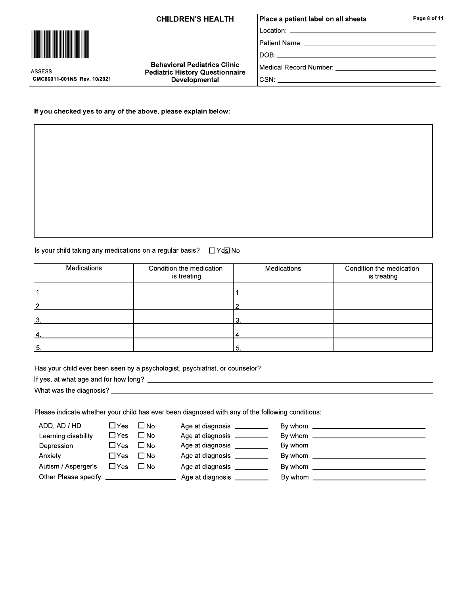**CHILDREN'S HEALTH** 

**Behavioral Pediatrics Clinic** 

**Pediatric History Questionnaire** 

Developmental

# Place a patient label on all sheets

 $DOB:$ 

If you checked yes to any of the above, please explain below:

Is your child taking any medications on a regular basis? □ Yes No

| Medications | Condition the medication<br>is treating | Medications | Condition the medication<br>is treating |
|-------------|-----------------------------------------|-------------|-----------------------------------------|
|             |                                         |             |                                         |
| 12.         |                                         | 2.          |                                         |
| 13.         |                                         | 3.          |                                         |
| 4           |                                         | '4.         |                                         |
| 15.         |                                         | ' 5.        |                                         |

Has your child ever been seen by a psychologist, psychiatrist, or counselor?

Please indicate whether your child has ever been diagnosed with any of the following conditions:

| ADD, AD / HD                           | $\square$ Yes | $\square$ No | Age at diagnosis _________ |                                                                                       |
|----------------------------------------|---------------|--------------|----------------------------|---------------------------------------------------------------------------------------|
| Learning disability                    | $\Box$ Yes    | $\square$ No | Age at diagnosis _________ |                                                                                       |
| Depression                             | $\Box$ Yes    | $\Box$ No    | Age at diagnosis _________ | By whom                                                                               |
| Anxiety                                | □Yes          | $\Box$ No    | Age at diagnosis _________ | By whom                                                                               |
| Autism / Asperger's                    | $\Box$ Yes    | $\Box$ No    | Age at diagnosis _         | By whom<br>the control of the control of the control of the control of the control of |
| Other Please specify: ________________ |               |              | Age at diagnosis _________ | By whom $\sqrt{2}$                                                                    |
|                                        |               |              |                            |                                                                                       |



CMC86011-001NS Rev. 10/2021

**ASSESS** 

Page 8 of 11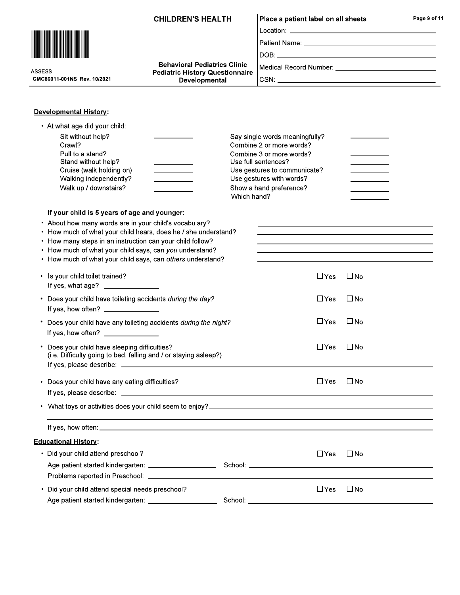| <b>Behavioral Pediatrics Clinic</b><br>Medical Record Number: __________________________________<br><b>ASSESS</b><br><b>Pediatric History Questionnaire</b><br>CMC86011-001NS Rev. 10/2021<br>Developmental<br><b>Developmental History:</b><br>• At what age did your child:<br>Sit without help?<br>Say single words meaningfully?<br>Crawl?<br>Combine 2 or more words?<br>Pull to a stand?<br>Combine 3 or more words?<br>Stand without help?<br>Use full sentences?<br><u> The Community of the Community of the Community of the Community of the Community of the Community of the Community of the Community of the Community of the Community of the Community of the Community of the Community of</u><br>Cruise (walk holding on)<br>Use gestures to communicate?<br>Use gestures with words?<br>Walking independently?<br>Walk up / downstairs?<br>Show a hand preference?<br>Which hand?<br>If your child is 5 years of age and younger:<br>• About how many words are in your child's vocabulary?<br>the control of the control of the control of the control of the control of the control of the control of the control of the control of the control of the control of the control of the control of the control of the control<br>• How much of what your child hears, does he / she understand?<br>• How many steps in an instruction can your child follow?<br>• How much of what your child says, can you understand?<br><u> 1989 - Johann Stoff, amerikansk politiker (* 1908)</u><br>• How much of what your child says, can others understand?<br>• Is your child toilet trained?<br>$\Box$ Yes<br>$\square$ No<br>If yes, what age? _______________<br>$\Box$ Yes<br>$\square$ No<br>• Does your child have toileting accidents during the day?<br>If yes, how often? ________________<br>$\square$ No<br>$\Box$ Yes<br>* Does your child have any toileting accidents during the night?<br>If yes, how often? $\sqrt{ }$<br>Does your child have sleeping difficulties?<br>$\Box$ Yes<br>$\square$ No<br>(i.e. Difficulty going to bed, falling and / or staying asleep?)<br>$\square$ No<br>• Does your child have any eating difficulties?<br>$\Box$ Yes<br><b>Educational History:</b><br>• Did your child attend preschool?<br>⊟ No<br>$\Box$ Yes<br>$\Box$ Yes $\Box$ No<br>• Did your child attend special needs preschool?<br>Age patient started kindergarten: _____________________ | <b>CHILDREN'S HEALTH</b> |  | Place a patient label on all sheets |  | Page 9 of 11 |
|------------------------------------------------------------------------------------------------------------------------------------------------------------------------------------------------------------------------------------------------------------------------------------------------------------------------------------------------------------------------------------------------------------------------------------------------------------------------------------------------------------------------------------------------------------------------------------------------------------------------------------------------------------------------------------------------------------------------------------------------------------------------------------------------------------------------------------------------------------------------------------------------------------------------------------------------------------------------------------------------------------------------------------------------------------------------------------------------------------------------------------------------------------------------------------------------------------------------------------------------------------------------------------------------------------------------------------------------------------------------------------------------------------------------------------------------------------------------------------------------------------------------------------------------------------------------------------------------------------------------------------------------------------------------------------------------------------------------------------------------------------------------------------------------------------------------------------------------------------------------------------------------------------------------------------------------------------------------------------------------------------------------------------------------------------------------------------------------------------------------------------------------------------------------------------------------------------------------------------------------------------------------------------------------------------------------------------------------------------------------------------------------------------------------|--------------------------|--|-------------------------------------|--|--------------|
|                                                                                                                                                                                                                                                                                                                                                                                                                                                                                                                                                                                                                                                                                                                                                                                                                                                                                                                                                                                                                                                                                                                                                                                                                                                                                                                                                                                                                                                                                                                                                                                                                                                                                                                                                                                                                                                                                                                                                                                                                                                                                                                                                                                                                                                                                                                                                                                                                        |                          |  |                                     |  |              |
|                                                                                                                                                                                                                                                                                                                                                                                                                                                                                                                                                                                                                                                                                                                                                                                                                                                                                                                                                                                                                                                                                                                                                                                                                                                                                                                                                                                                                                                                                                                                                                                                                                                                                                                                                                                                                                                                                                                                                                                                                                                                                                                                                                                                                                                                                                                                                                                                                        |                          |  |                                     |  |              |
|                                                                                                                                                                                                                                                                                                                                                                                                                                                                                                                                                                                                                                                                                                                                                                                                                                                                                                                                                                                                                                                                                                                                                                                                                                                                                                                                                                                                                                                                                                                                                                                                                                                                                                                                                                                                                                                                                                                                                                                                                                                                                                                                                                                                                                                                                                                                                                                                                        |                          |  |                                     |  |              |
|                                                                                                                                                                                                                                                                                                                                                                                                                                                                                                                                                                                                                                                                                                                                                                                                                                                                                                                                                                                                                                                                                                                                                                                                                                                                                                                                                                                                                                                                                                                                                                                                                                                                                                                                                                                                                                                                                                                                                                                                                                                                                                                                                                                                                                                                                                                                                                                                                        |                          |  |                                     |  |              |
|                                                                                                                                                                                                                                                                                                                                                                                                                                                                                                                                                                                                                                                                                                                                                                                                                                                                                                                                                                                                                                                                                                                                                                                                                                                                                                                                                                                                                                                                                                                                                                                                                                                                                                                                                                                                                                                                                                                                                                                                                                                                                                                                                                                                                                                                                                                                                                                                                        |                          |  |                                     |  |              |
|                                                                                                                                                                                                                                                                                                                                                                                                                                                                                                                                                                                                                                                                                                                                                                                                                                                                                                                                                                                                                                                                                                                                                                                                                                                                                                                                                                                                                                                                                                                                                                                                                                                                                                                                                                                                                                                                                                                                                                                                                                                                                                                                                                                                                                                                                                                                                                                                                        |                          |  |                                     |  |              |
|                                                                                                                                                                                                                                                                                                                                                                                                                                                                                                                                                                                                                                                                                                                                                                                                                                                                                                                                                                                                                                                                                                                                                                                                                                                                                                                                                                                                                                                                                                                                                                                                                                                                                                                                                                                                                                                                                                                                                                                                                                                                                                                                                                                                                                                                                                                                                                                                                        |                          |  |                                     |  |              |
|                                                                                                                                                                                                                                                                                                                                                                                                                                                                                                                                                                                                                                                                                                                                                                                                                                                                                                                                                                                                                                                                                                                                                                                                                                                                                                                                                                                                                                                                                                                                                                                                                                                                                                                                                                                                                                                                                                                                                                                                                                                                                                                                                                                                                                                                                                                                                                                                                        |                          |  |                                     |  |              |
|                                                                                                                                                                                                                                                                                                                                                                                                                                                                                                                                                                                                                                                                                                                                                                                                                                                                                                                                                                                                                                                                                                                                                                                                                                                                                                                                                                                                                                                                                                                                                                                                                                                                                                                                                                                                                                                                                                                                                                                                                                                                                                                                                                                                                                                                                                                                                                                                                        |                          |  |                                     |  |              |
|                                                                                                                                                                                                                                                                                                                                                                                                                                                                                                                                                                                                                                                                                                                                                                                                                                                                                                                                                                                                                                                                                                                                                                                                                                                                                                                                                                                                                                                                                                                                                                                                                                                                                                                                                                                                                                                                                                                                                                                                                                                                                                                                                                                                                                                                                                                                                                                                                        |                          |  |                                     |  |              |
|                                                                                                                                                                                                                                                                                                                                                                                                                                                                                                                                                                                                                                                                                                                                                                                                                                                                                                                                                                                                                                                                                                                                                                                                                                                                                                                                                                                                                                                                                                                                                                                                                                                                                                                                                                                                                                                                                                                                                                                                                                                                                                                                                                                                                                                                                                                                                                                                                        |                          |  |                                     |  |              |
|                                                                                                                                                                                                                                                                                                                                                                                                                                                                                                                                                                                                                                                                                                                                                                                                                                                                                                                                                                                                                                                                                                                                                                                                                                                                                                                                                                                                                                                                                                                                                                                                                                                                                                                                                                                                                                                                                                                                                                                                                                                                                                                                                                                                                                                                                                                                                                                                                        |                          |  |                                     |  |              |
|                                                                                                                                                                                                                                                                                                                                                                                                                                                                                                                                                                                                                                                                                                                                                                                                                                                                                                                                                                                                                                                                                                                                                                                                                                                                                                                                                                                                                                                                                                                                                                                                                                                                                                                                                                                                                                                                                                                                                                                                                                                                                                                                                                                                                                                                                                                                                                                                                        |                          |  |                                     |  |              |
|                                                                                                                                                                                                                                                                                                                                                                                                                                                                                                                                                                                                                                                                                                                                                                                                                                                                                                                                                                                                                                                                                                                                                                                                                                                                                                                                                                                                                                                                                                                                                                                                                                                                                                                                                                                                                                                                                                                                                                                                                                                                                                                                                                                                                                                                                                                                                                                                                        |                          |  |                                     |  |              |
|                                                                                                                                                                                                                                                                                                                                                                                                                                                                                                                                                                                                                                                                                                                                                                                                                                                                                                                                                                                                                                                                                                                                                                                                                                                                                                                                                                                                                                                                                                                                                                                                                                                                                                                                                                                                                                                                                                                                                                                                                                                                                                                                                                                                                                                                                                                                                                                                                        |                          |  |                                     |  |              |
|                                                                                                                                                                                                                                                                                                                                                                                                                                                                                                                                                                                                                                                                                                                                                                                                                                                                                                                                                                                                                                                                                                                                                                                                                                                                                                                                                                                                                                                                                                                                                                                                                                                                                                                                                                                                                                                                                                                                                                                                                                                                                                                                                                                                                                                                                                                                                                                                                        |                          |  |                                     |  |              |
|                                                                                                                                                                                                                                                                                                                                                                                                                                                                                                                                                                                                                                                                                                                                                                                                                                                                                                                                                                                                                                                                                                                                                                                                                                                                                                                                                                                                                                                                                                                                                                                                                                                                                                                                                                                                                                                                                                                                                                                                                                                                                                                                                                                                                                                                                                                                                                                                                        |                          |  |                                     |  |              |
|                                                                                                                                                                                                                                                                                                                                                                                                                                                                                                                                                                                                                                                                                                                                                                                                                                                                                                                                                                                                                                                                                                                                                                                                                                                                                                                                                                                                                                                                                                                                                                                                                                                                                                                                                                                                                                                                                                                                                                                                                                                                                                                                                                                                                                                                                                                                                                                                                        |                          |  |                                     |  |              |
|                                                                                                                                                                                                                                                                                                                                                                                                                                                                                                                                                                                                                                                                                                                                                                                                                                                                                                                                                                                                                                                                                                                                                                                                                                                                                                                                                                                                                                                                                                                                                                                                                                                                                                                                                                                                                                                                                                                                                                                                                                                                                                                                                                                                                                                                                                                                                                                                                        |                          |  |                                     |  |              |
|                                                                                                                                                                                                                                                                                                                                                                                                                                                                                                                                                                                                                                                                                                                                                                                                                                                                                                                                                                                                                                                                                                                                                                                                                                                                                                                                                                                                                                                                                                                                                                                                                                                                                                                                                                                                                                                                                                                                                                                                                                                                                                                                                                                                                                                                                                                                                                                                                        |                          |  |                                     |  |              |
|                                                                                                                                                                                                                                                                                                                                                                                                                                                                                                                                                                                                                                                                                                                                                                                                                                                                                                                                                                                                                                                                                                                                                                                                                                                                                                                                                                                                                                                                                                                                                                                                                                                                                                                                                                                                                                                                                                                                                                                                                                                                                                                                                                                                                                                                                                                                                                                                                        |                          |  |                                     |  |              |
|                                                                                                                                                                                                                                                                                                                                                                                                                                                                                                                                                                                                                                                                                                                                                                                                                                                                                                                                                                                                                                                                                                                                                                                                                                                                                                                                                                                                                                                                                                                                                                                                                                                                                                                                                                                                                                                                                                                                                                                                                                                                                                                                                                                                                                                                                                                                                                                                                        |                          |  |                                     |  |              |
|                                                                                                                                                                                                                                                                                                                                                                                                                                                                                                                                                                                                                                                                                                                                                                                                                                                                                                                                                                                                                                                                                                                                                                                                                                                                                                                                                                                                                                                                                                                                                                                                                                                                                                                                                                                                                                                                                                                                                                                                                                                                                                                                                                                                                                                                                                                                                                                                                        |                          |  |                                     |  |              |
|                                                                                                                                                                                                                                                                                                                                                                                                                                                                                                                                                                                                                                                                                                                                                                                                                                                                                                                                                                                                                                                                                                                                                                                                                                                                                                                                                                                                                                                                                                                                                                                                                                                                                                                                                                                                                                                                                                                                                                                                                                                                                                                                                                                                                                                                                                                                                                                                                        |                          |  |                                     |  |              |
|                                                                                                                                                                                                                                                                                                                                                                                                                                                                                                                                                                                                                                                                                                                                                                                                                                                                                                                                                                                                                                                                                                                                                                                                                                                                                                                                                                                                                                                                                                                                                                                                                                                                                                                                                                                                                                                                                                                                                                                                                                                                                                                                                                                                                                                                                                                                                                                                                        |                          |  |                                     |  |              |
|                                                                                                                                                                                                                                                                                                                                                                                                                                                                                                                                                                                                                                                                                                                                                                                                                                                                                                                                                                                                                                                                                                                                                                                                                                                                                                                                                                                                                                                                                                                                                                                                                                                                                                                                                                                                                                                                                                                                                                                                                                                                                                                                                                                                                                                                                                                                                                                                                        |                          |  |                                     |  |              |
|                                                                                                                                                                                                                                                                                                                                                                                                                                                                                                                                                                                                                                                                                                                                                                                                                                                                                                                                                                                                                                                                                                                                                                                                                                                                                                                                                                                                                                                                                                                                                                                                                                                                                                                                                                                                                                                                                                                                                                                                                                                                                                                                                                                                                                                                                                                                                                                                                        |                          |  |                                     |  |              |
|                                                                                                                                                                                                                                                                                                                                                                                                                                                                                                                                                                                                                                                                                                                                                                                                                                                                                                                                                                                                                                                                                                                                                                                                                                                                                                                                                                                                                                                                                                                                                                                                                                                                                                                                                                                                                                                                                                                                                                                                                                                                                                                                                                                                                                                                                                                                                                                                                        |                          |  |                                     |  |              |
|                                                                                                                                                                                                                                                                                                                                                                                                                                                                                                                                                                                                                                                                                                                                                                                                                                                                                                                                                                                                                                                                                                                                                                                                                                                                                                                                                                                                                                                                                                                                                                                                                                                                                                                                                                                                                                                                                                                                                                                                                                                                                                                                                                                                                                                                                                                                                                                                                        |                          |  |                                     |  |              |
|                                                                                                                                                                                                                                                                                                                                                                                                                                                                                                                                                                                                                                                                                                                                                                                                                                                                                                                                                                                                                                                                                                                                                                                                                                                                                                                                                                                                                                                                                                                                                                                                                                                                                                                                                                                                                                                                                                                                                                                                                                                                                                                                                                                                                                                                                                                                                                                                                        |                          |  |                                     |  |              |
|                                                                                                                                                                                                                                                                                                                                                                                                                                                                                                                                                                                                                                                                                                                                                                                                                                                                                                                                                                                                                                                                                                                                                                                                                                                                                                                                                                                                                                                                                                                                                                                                                                                                                                                                                                                                                                                                                                                                                                                                                                                                                                                                                                                                                                                                                                                                                                                                                        |                          |  |                                     |  |              |
|                                                                                                                                                                                                                                                                                                                                                                                                                                                                                                                                                                                                                                                                                                                                                                                                                                                                                                                                                                                                                                                                                                                                                                                                                                                                                                                                                                                                                                                                                                                                                                                                                                                                                                                                                                                                                                                                                                                                                                                                                                                                                                                                                                                                                                                                                                                                                                                                                        |                          |  |                                     |  |              |
|                                                                                                                                                                                                                                                                                                                                                                                                                                                                                                                                                                                                                                                                                                                                                                                                                                                                                                                                                                                                                                                                                                                                                                                                                                                                                                                                                                                                                                                                                                                                                                                                                                                                                                                                                                                                                                                                                                                                                                                                                                                                                                                                                                                                                                                                                                                                                                                                                        |                          |  |                                     |  |              |
|                                                                                                                                                                                                                                                                                                                                                                                                                                                                                                                                                                                                                                                                                                                                                                                                                                                                                                                                                                                                                                                                                                                                                                                                                                                                                                                                                                                                                                                                                                                                                                                                                                                                                                                                                                                                                                                                                                                                                                                                                                                                                                                                                                                                                                                                                                                                                                                                                        |                          |  |                                     |  |              |
|                                                                                                                                                                                                                                                                                                                                                                                                                                                                                                                                                                                                                                                                                                                                                                                                                                                                                                                                                                                                                                                                                                                                                                                                                                                                                                                                                                                                                                                                                                                                                                                                                                                                                                                                                                                                                                                                                                                                                                                                                                                                                                                                                                                                                                                                                                                                                                                                                        |                          |  |                                     |  |              |
|                                                                                                                                                                                                                                                                                                                                                                                                                                                                                                                                                                                                                                                                                                                                                                                                                                                                                                                                                                                                                                                                                                                                                                                                                                                                                                                                                                                                                                                                                                                                                                                                                                                                                                                                                                                                                                                                                                                                                                                                                                                                                                                                                                                                                                                                                                                                                                                                                        |                          |  |                                     |  |              |
|                                                                                                                                                                                                                                                                                                                                                                                                                                                                                                                                                                                                                                                                                                                                                                                                                                                                                                                                                                                                                                                                                                                                                                                                                                                                                                                                                                                                                                                                                                                                                                                                                                                                                                                                                                                                                                                                                                                                                                                                                                                                                                                                                                                                                                                                                                                                                                                                                        |                          |  |                                     |  |              |
|                                                                                                                                                                                                                                                                                                                                                                                                                                                                                                                                                                                                                                                                                                                                                                                                                                                                                                                                                                                                                                                                                                                                                                                                                                                                                                                                                                                                                                                                                                                                                                                                                                                                                                                                                                                                                                                                                                                                                                                                                                                                                                                                                                                                                                                                                                                                                                                                                        |                          |  |                                     |  |              |
|                                                                                                                                                                                                                                                                                                                                                                                                                                                                                                                                                                                                                                                                                                                                                                                                                                                                                                                                                                                                                                                                                                                                                                                                                                                                                                                                                                                                                                                                                                                                                                                                                                                                                                                                                                                                                                                                                                                                                                                                                                                                                                                                                                                                                                                                                                                                                                                                                        |                          |  |                                     |  |              |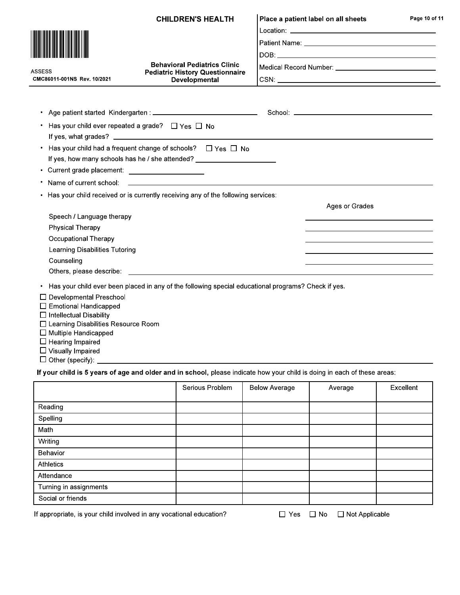|                                                  | <b>CHILDREN'S HEALTH</b>                                                                                                                                                                                                       | Place a patient label on all sheets                                                       | Page 10 of 11 |  |
|--------------------------------------------------|--------------------------------------------------------------------------------------------------------------------------------------------------------------------------------------------------------------------------------|-------------------------------------------------------------------------------------------|---------------|--|
|                                                  |                                                                                                                                                                                                                                |                                                                                           |               |  |
|                                                  |                                                                                                                                                                                                                                |                                                                                           |               |  |
|                                                  | <b>Behavioral Pediatrics Clinic</b><br><b>Pediatric History Questionnaire</b><br>Developmental                                                                                                                                 |                                                                                           |               |  |
|                                                  |                                                                                                                                                                                                                                |                                                                                           |               |  |
| <b>ASSESS</b><br>CMC86011-001NS Rev. 10/2021     |                                                                                                                                                                                                                                |                                                                                           |               |  |
|                                                  |                                                                                                                                                                                                                                |                                                                                           |               |  |
| ٠                                                |                                                                                                                                                                                                                                |                                                                                           |               |  |
| ٠                                                | Has your child ever repeated a grade? $\Box$ Yes $\Box$ No                                                                                                                                                                     |                                                                                           |               |  |
|                                                  |                                                                                                                                                                                                                                |                                                                                           |               |  |
| ٠                                                | Has your child had a frequent change of schools? $\Box$ Yes $\Box$ No                                                                                                                                                          |                                                                                           |               |  |
|                                                  | If yes, how many schools has he / she attended? ________________________________                                                                                                                                               |                                                                                           |               |  |
| • Current grade placement: _____________________ |                                                                                                                                                                                                                                |                                                                                           |               |  |
| ٠                                                | Name of current school: example and a series of contract the series of current and a series of current school:                                                                                                                 |                                                                                           |               |  |
| ٠                                                | Has your child received or is currently receiving any of the following services:                                                                                                                                               |                                                                                           |               |  |
|                                                  |                                                                                                                                                                                                                                | Ages or Grades                                                                            |               |  |
| Speech / Language therapy                        |                                                                                                                                                                                                                                |                                                                                           |               |  |
| <b>Physical Therapy</b>                          |                                                                                                                                                                                                                                |                                                                                           |               |  |
| Occupational Therapy                             |                                                                                                                                                                                                                                | the control of the control of the control of the control of the control of the control of |               |  |
| Learning Disabilities Tutoring                   |                                                                                                                                                                                                                                |                                                                                           |               |  |
| Counseling                                       |                                                                                                                                                                                                                                |                                                                                           |               |  |
|                                                  | Others, please describe: example and a series of the series of the series of the series of the series of the series of the series of the series of the series of the series of the series of the series of the series of the s |                                                                                           |               |  |
| $\bullet$                                        | Has your child ever been placed in any of the following special educational programs? Check if yes.                                                                                                                            |                                                                                           |               |  |
| $\Box$ Developmental Preschool                   |                                                                                                                                                                                                                                |                                                                                           |               |  |
| $\Box$ Emotional Handicapped                     |                                                                                                                                                                                                                                |                                                                                           |               |  |
| $\Box$ Intellectual Disability                   |                                                                                                                                                                                                                                |                                                                                           |               |  |

- □ Learning Disabilities Resource Room
- $\Box$  Multiple Handicapped
- $\Box$  Hearing Impaired
- $\Box$  Visually Impaired
- $\Box$  Other (specify):  $\_\_$

If your child is 5 years of age and older and in school, please indicate how your child is doing in each of these areas:

|                        | Serious Problem | <b>Below Average</b> | Average | Excellent |
|------------------------|-----------------|----------------------|---------|-----------|
|                        |                 |                      |         |           |
| Reading                |                 |                      |         |           |
| Spelling               |                 |                      |         |           |
| Math                   |                 |                      |         |           |
| Writing                |                 |                      |         |           |
| Behavior               |                 |                      |         |           |
| <b>Athletics</b>       |                 |                      |         |           |
| Attendance             |                 |                      |         |           |
| Turning in assignments |                 |                      |         |           |
| Social or friends      |                 |                      |         |           |

If appropriate, is your child involved in any vocational education?

□ Yes □ No □ Not Applicable